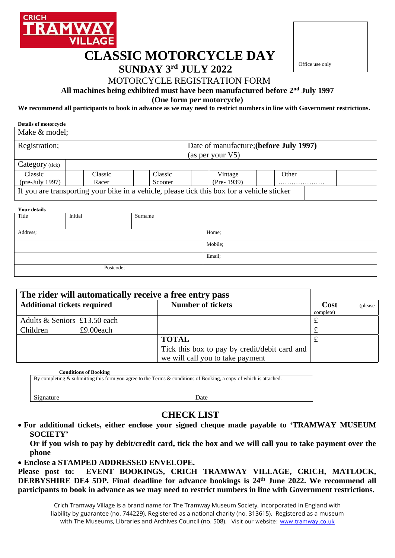

# **CLASSIC MOTORCYCLE DAY**

# **SUNDAY 3 rd JULY 2022**



## MOTORCYCLE REGISTRATION FORM

**All machines being exhibited must have been manufactured before 2 nd July 1997**

**(One form per motorcycle)**

**We recommend all participants to book in advance as we may need to restrict numbers in line with Government restrictions.**

| <b>Details of motorcycle</b> |         |         |                                                                                            |       |  |  |
|------------------------------|---------|---------|--------------------------------------------------------------------------------------------|-------|--|--|
| Make & model;                |         |         |                                                                                            |       |  |  |
| Registration;                |         |         | Date of manufacture; (before July 1997)<br>(as per your V5)                                |       |  |  |
| Category (tick)              |         |         |                                                                                            |       |  |  |
| Classic                      | Classic | Classic | Vintage                                                                                    | Other |  |  |
| $(\text{pre-July } 1997)$    | Racer   | Scooter | $(Pre- 1939)$                                                                              |       |  |  |
|                              |         |         | If you are transporting your bike in a vehicle, please tick this box for a vehicle sticker |       |  |  |

| <b>Your details</b> |         |         |         |  |  |  |  |
|---------------------|---------|---------|---------|--|--|--|--|
| Title               | Initial | Surname |         |  |  |  |  |
|                     |         |         |         |  |  |  |  |
|                     |         |         |         |  |  |  |  |
| Address;            |         |         | Home;   |  |  |  |  |
|                     |         |         |         |  |  |  |  |
|                     |         |         | Mobile; |  |  |  |  |
|                     |         |         |         |  |  |  |  |
|                     |         |         | Email;  |  |  |  |  |
|                     |         |         |         |  |  |  |  |
| Postcode;           |         |         |         |  |  |  |  |
|                     |         |         |         |  |  |  |  |
|                     |         |         |         |  |  |  |  |

| The rider will automatically receive a free entry pass |           |                                                                                   |                   |          |
|--------------------------------------------------------|-----------|-----------------------------------------------------------------------------------|-------------------|----------|
| <b>Additional tickets required</b>                     |           | <b>Number of tickets</b>                                                          | Cost<br>complete) | (please) |
| Adults & Seniors £13.50 each                           |           |                                                                                   |                   |          |
| Children                                               | £9.00each |                                                                                   |                   |          |
|                                                        |           | <b>TOTAL</b>                                                                      |                   |          |
|                                                        |           | Tick this box to pay by credit/debit card and<br>we will call you to take payment |                   |          |

 **Conditions of Booking**

By completing & submitting this form you agree to the Terms & conditions of Booking, a copy of which is attached.

Signature Date

### **CHECK LIST**

• **For additional tickets, either enclose your signed cheque made payable to 'TRAMWAY MUSEUM SOCIETY'**

**Or if you wish to pay by debit/credit card, tick the box and we will call you to take payment over the phone**

• **Enclose a STAMPED ADDRESSED ENVELOPE.**

**Please post to: EVENT BOOKINGS, CRICH TRAMWAY VILLAGE, CRICH, MATLOCK, DERBYSHIRE DE4 5DP. Final deadline for advance bookings is 24 th June 2022. We recommend all participants to book in advance as we may need to restrict numbers in line with Government restrictions.**

Crich Tramway Village is a brand name for The Tramway Museum Society, incorporated in England with liability by guarantee (no. 744229). Registered as a national charity (no. 313615). Registered as a museum with The Museums, Libraries and Archives Council (no. 508). Visit our website: [www.tramway.co.uk](http://www.tramway.co.uk/)